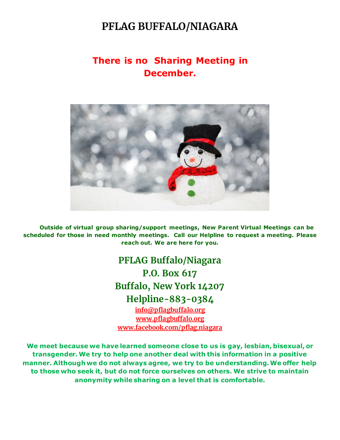### **PFLAG BUFFALO/NIAGARA**

#### **There is no Sharing Meeting in December.**



 **Outside of virtual group sharing/support meetings, New Parent Virtual Meetings can be scheduled for those in need monthly meetings. Call our Helpline to request a meeting. Please reach out. We are here for you.**

> **PFLAG Buffalo/Niagara P.O. Box 617 Buffalo, New York 14207 Helpline-883-0384 [info@pflagbuffalo.org](mailto:info@pflagbuffalo.org)**

**[www.pflagbuffalo.org](http://www.pflagbuffalo.org/) [www.facebook.com/pflag.niagara](http://www.facebook.com/pflag.niagara)**

**We meet because we have learned someone close to us is gay, lesbian, bisexual, or transgender. We try to help one another deal with this information in a positive manner. Although we do not always agree, we try to be understanding. We offer help to those who seek it, but do not force ourselves on others. We strive to maintain anonymity while sharing on a level that is comfortable.**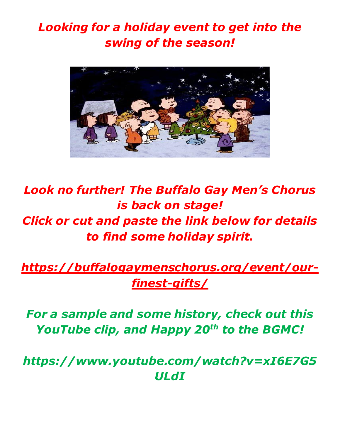## *Looking for a holiday event to get into the swing of the season!*



# *Look no further! The Buffalo Gay Men's Chorus is back on stage! Click or cut and paste the link below for details to find some holiday spirit.*

## *[https://buffalogaymenschorus.org/event/our](https://buffalogaymenschorus.org/event/our-finest-gifts/)[finest-gifts/](https://buffalogaymenschorus.org/event/our-finest-gifts/)*

## *For a sample and some history, check out this YouTube clip, and Happy 20th to the BGMC!*

*https://www.youtube.com/watch?v=xI6E7G5 ULdI*